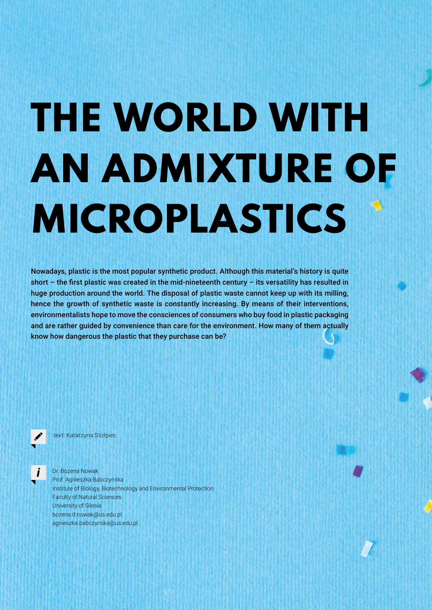## **THE WORLD WITH AN ADMIXTURE OF MICROPLASTICS**

Nowadays, plastic is the most popular synthetic product. Although this material's history is quite short – the first plastic was created in the mid-nineteenth century – its versatility has resulted in huge production around the world. The disposal of plastic waste cannot keep up with its milling, hence the growth of synthetic waste is constantly increasing. By means of their interventions, environmentalists hope to move the consciences of consumers who buy food in plastic packaging and are rather guided by convenience than care for the environment. How many of them actually know how dangerous the plastic that they purchase can be?



text: Katarzyna Stołpiec

Dr. Bożena Nowak Prof. Agnieszka Babczyńska Institute of Biology, Biotechnology and Environmental Protection Faculty of Natural Sciences University of Silesia bozena.d.nowak@us.edu.pl agnieszka.babczynska@us.edu.pl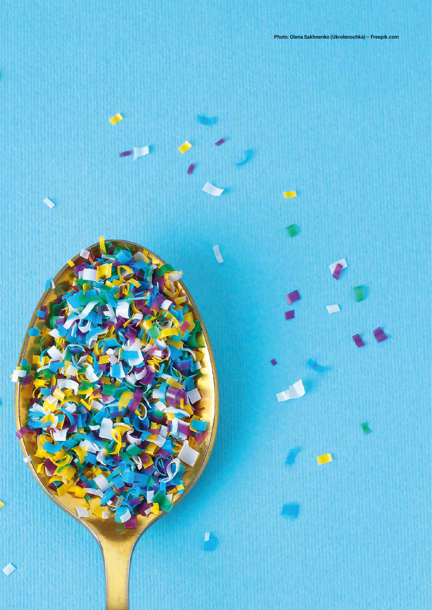Photo: Olena Sakhnenko (Ukrolenochka) – Freepik.com

I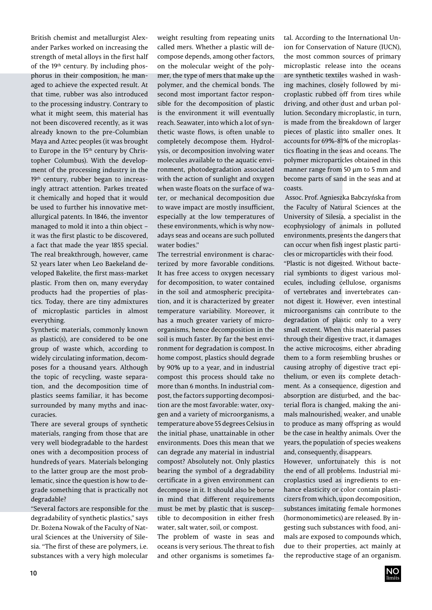British chemist and metallurgist Alexander Parkes worked on increasing the strength of metal alloys in the first half of the 19<sup>th</sup> century. By including phosphorus in their composition, he managed to achieve the expected result. At that time, rubber was also introduced to the processing industry. Contrary to what it might seem, this material has not been discovered recently, as it was already known to the pre-Columbian Maya and Aztec peoples (it was brought to Europe in the 15<sup>th</sup> century by Christopher Columbus). With the development of the processing industry in the 19<sup>th</sup> century, rubber began to increasingly attract attention. Parkes treated it chemically and hoped that it would be used to further his innovative metallurgical patents. In 1846, the inventor managed to mold it into a thin object – it was the first plastic to be discovered, a fact that made the year 1855 special. The real breakthrough, however, came 52 years later when Leo Baekeland developed Bakelite, the first mass-market plastic. From then on, many everyday products had the properties of plastics. Today, there are tiny admixtures of microplastic particles in almost everything.

Synthetic materials, commonly known as plastic(s), are considered to be one group of waste which, according to widely circulating information, decomposes for a thousand years. Although the topic of recycling, waste separation, and the decomposition time of plastics seems familiar, it has become surrounded by many myths and inaccuracies.

There are several groups of synthetic materials, ranging from those that are very well biodegradable to the hardest ones with a decomposition process of hundreds of years. Materials belonging to the latter group are the most problematic, since the question is how to degrade something that is practically not degradable?

"Several factors are responsible for the degradability of synthetic plastics," says Dr. Bożena Nowak of the Faculty of Natural Sciences at the University of Silesia. "The first of these are polymers, i.e. substances with a very high molecular weight resulting from repeating units called mers. Whether a plastic will decompose depends, among other factors, on the molecular weight of the polymer, the type of mers that make up the polymer, and the chemical bonds. The second most important factor responsible for the decomposition of plastic is the environment it will eventually reach. Seawater, into which a lot of synthetic waste flows, is often unable to completely decompose them. Hydrolysis, or decomposition involving water molecules available to the aquatic environment, photodegradation associated with the action of sunlight and oxygen when waste floats on the surface of water, or mechanical decomposition due to wave impact are mostly insufficient, especially at the low temperatures of these environments, which is why nowadays seas and oceans are such polluted water bodies."

The terrestrial environment is characterized by more favorable conditions. It has free access to oxygen necessary for decomposition, to water contained in the soil and atmospheric precipitation, and it is characterized by greater temperature variability. Moreover, it has a much greater variety of microorganisms, hence decomposition in the soil is much faster. By far the best environment for degradation is compost. In home compost, plastics should degrade by 90% up to a year, and in industrial compost this process should take no more than 6 months. In industrial compost, the factors supporting decomposition are the most favorable: water, oxygen and a variety of microorganisms, a temperature above 55 degrees Celsius in the initial phase, unattainable in other environments. Does this mean that we can degrade any material in industrial compost? Absolutely not. Only plastics bearing the symbol of a degradability certificate in a given environment can decompose in it. It should also be borne in mind that different requirements must be met by plastic that is susceptible to decomposition in either fresh water, salt water, soil, or compost.

The problem of waste in seas and oceans is very serious. The threat to fish and other organisms is sometimes fatal. According to the International Union for Conservation of Nature (IUCN), the most common sources of primary microplastic release into the oceans are synthetic textiles washed in washing machines, closely followed by microplastic rubbed off from tires while driving, and other dust and urban pollution. Secondary microplastic, in turn, is made from the breakdown of larger pieces of plastic into smaller ones. It accounts for 69%-81% of the microplastics floating in the seas and oceans. The polymer microparticles obtained in this manner range from 50 μm to 5 mm and become parts of sand in the seas and at coasts.

 Assoc. Prof. Agnieszka Babczyńska from the Faculty of Natural Sciences at the University of Silesia, a specialist in the ecophysiology of animals in polluted environments, presents the dangers that can occur when fish ingest plastic particles or microparticles with their food.

"Plastic is not digested. Without bacterial symbionts to digest various molecules, including cellulose, organisms of vertebrates and invertebrates cannot digest it. However, even intestinal microorganisms can contribute to the degradation of plastic only to a very small extent. When this material passes through their digestive tract, it damages the active microcosms, either abrading them to a form resembling brushes or causing atrophy of digestive tract epithelium, or even its complete detachment. As a consequence, digestion and absorption are disturbed, and the bacterial flora is changed, making the animals malnourished, weaker, and unable to produce as many offspring as would be the case in healthy animals. Over the years, the population of species weakens and, consequently, disappears.

However, unfortunately this is not the end of all problems. Industrial microplastics used as ingredients to enhance elasticity or color contain plasticizers from which, upon decomposition, substances imitating female hormones (hormonomimetics) are released. By ingesting such substances with food, animals are exposed to compounds which, due to their properties, act mainly at the reproductive stage of an organism.